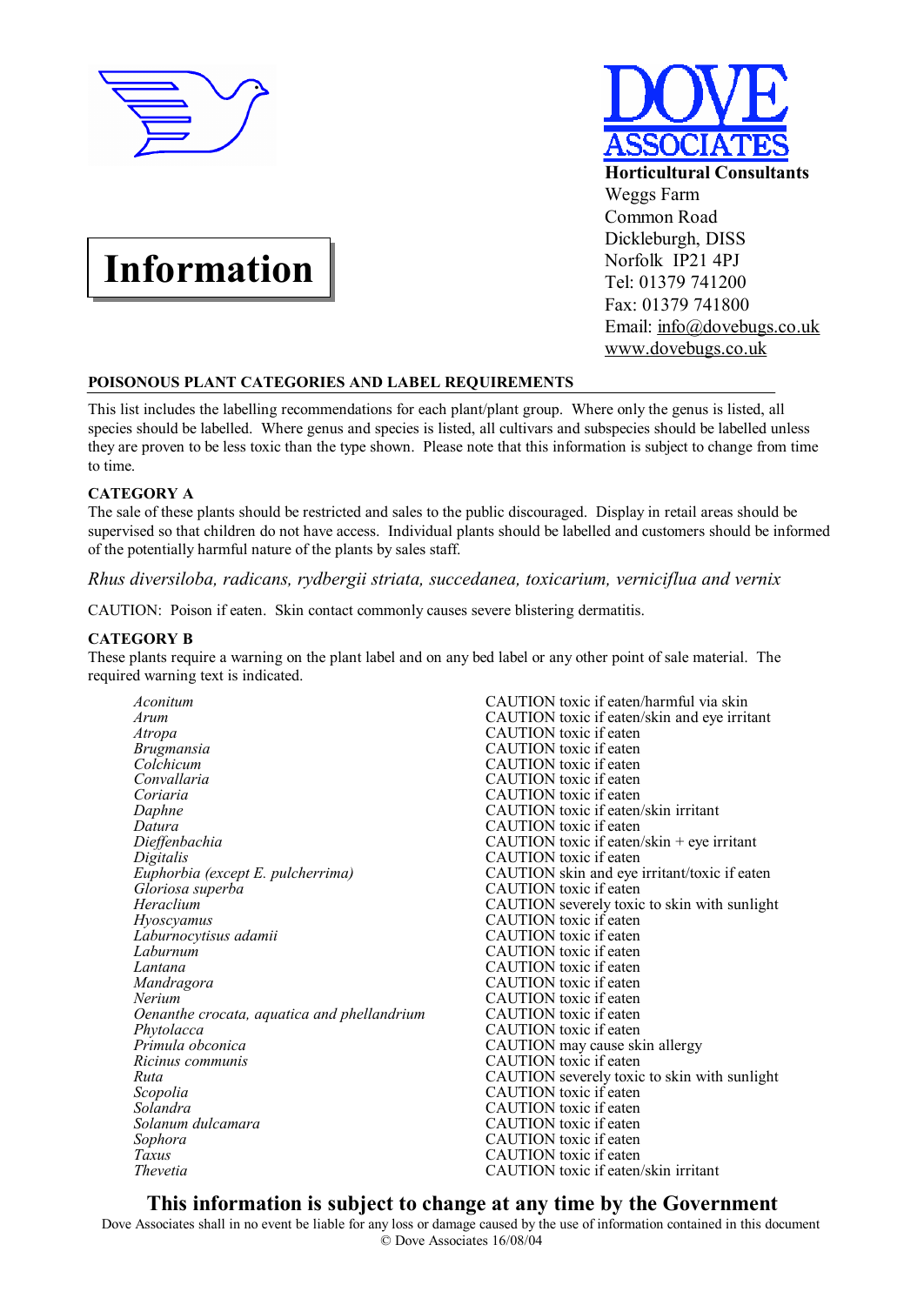

# **Information**



## **POISONOUS PLANT CATEGORIES AND LABEL REQUIREMENTS**

This list includes the labelling recommendations for each plant/plant group. Where only the genus is listed, all species should be labelled. Where genus and species is listed, all cultivars and subspecies should be labelled unless they are proven to be less toxic than the type shown. Please note that this information is subject to change from time to time.

## **CATEGORY A**

The sale of these plants should be restricted and sales to the public discouraged. Display in retail areas should be supervised so that children do not have access. Individual plants should be labelled and customers should be informed of the potentially harmful nature of the plants by sales staff.

*Rhus diversiloba, radicans, rydbergii striata, succedanea, toxicarium, verniciflua and vernix* 

CAUTION: Poison if eaten. Skin contact commonly causes severe blistering dermatitis.

#### **CATEGORY B**

These plants require a warning on the plant label and on any bed label or any other point of sale material. The required warning text is indicated.

*Arum* CAUTION toxic if eaten/skin and eye irritant *Atropa* CAUTION toxic if eaten *Atropa* CAUTION toxic if eaten<br> *Brugmansia* CAUTION toxic if eaten *Colchicum* CAUTION toxic if eaten<br> *CAUTION* toxic if eaten *Convallaria* CAUTION toxic if eaten<br> *CAUTION* toxic if eaten<br>
CAUTION toxic if eaten *Daphne* **CAUTION** toxic if eaten/skin irritant *Datura* **CAUTION** toxic if eaten *Datura* CAUTION toxic if eaten<br>*Dieffenbachia* CAUTION toxic if eaten *Dieffenbachia* CAUTION toxic if eaten/skin + eye irritant Digitalis CAUTION toxic if eaten *Digitalis* CAUTION toxic if eaten Euphorbia (except E. pulcherrima) CAUTION toxic if eaten *Euphorbia* (*except E. pulcherrima*) **CAUTION** skin and eye irritant/toxic if eaten *Gloriosa superba* **CAUTION** toxic if eaten *Gloriosa superba* CAUTION toxic if eaten<br> *Heraclium* CAUTION severely toxic *Hyoscyamus* CAUTION toxic if eaten<br> *Laburnocytisus adamii* CAUTION toxic if eaten *Laburnum* CAUTION toxic if eaten *Lantana* CAUTION toxic if eaten *Mandragora* CAUTION toxic if eaten *Nerium* CAUTION toxic if eaten<br>*Oenanthe crocata, aquatica and phellandrium* CAUTION toxic if eaten *Oenanthe crocata, aquatica and phellandrium Phytolacca Phytolacca* CAUTION toxic if eaten<br>*Primula obconica* CAUTION may cause sk *Primula obconica*<br> *Ricinus communis*<br>
CAUTION toxic if eaten *Ricinus communis*<br> *Ruta Ruta CAUTION Severely koxic Scopolia* CAUTION toxic if eaten *Solandra* CAUTION toxic if eaten *Solanum dulcamara* CAUTION toxic if eaten Sophora<br>
CAUTION toxic if eaten *Taxus* CAUTION toxic if eaten *Thevetia* CAUTION toxic if eaten

*Aconitum* **CAUTION** toxic if eaten/harmful via skin<br>*Arum* **CAUTION** toxic if eaten/skin and eve irrit *Brugmansia* CAUTION toxic if eaten **CAUTION** toxic if eaten CAUTION severely toxic to skin with sunlight *Laburnocytisus adamii* CAUTION toxic if eaten *Lantana* CAUTION toxic if eaten *Ruta* CAUTION severely toxic to skin with sunlight **CAUTION** toxic if eaten *Thevetia* CAUTION toxic if eaten/skin irritant

# **This information is subject to change at any time by the Government**

Dove Associates shall in no event be liable for any loss or damage caused by the use of information contained in this document © Dove Associates 16/08/04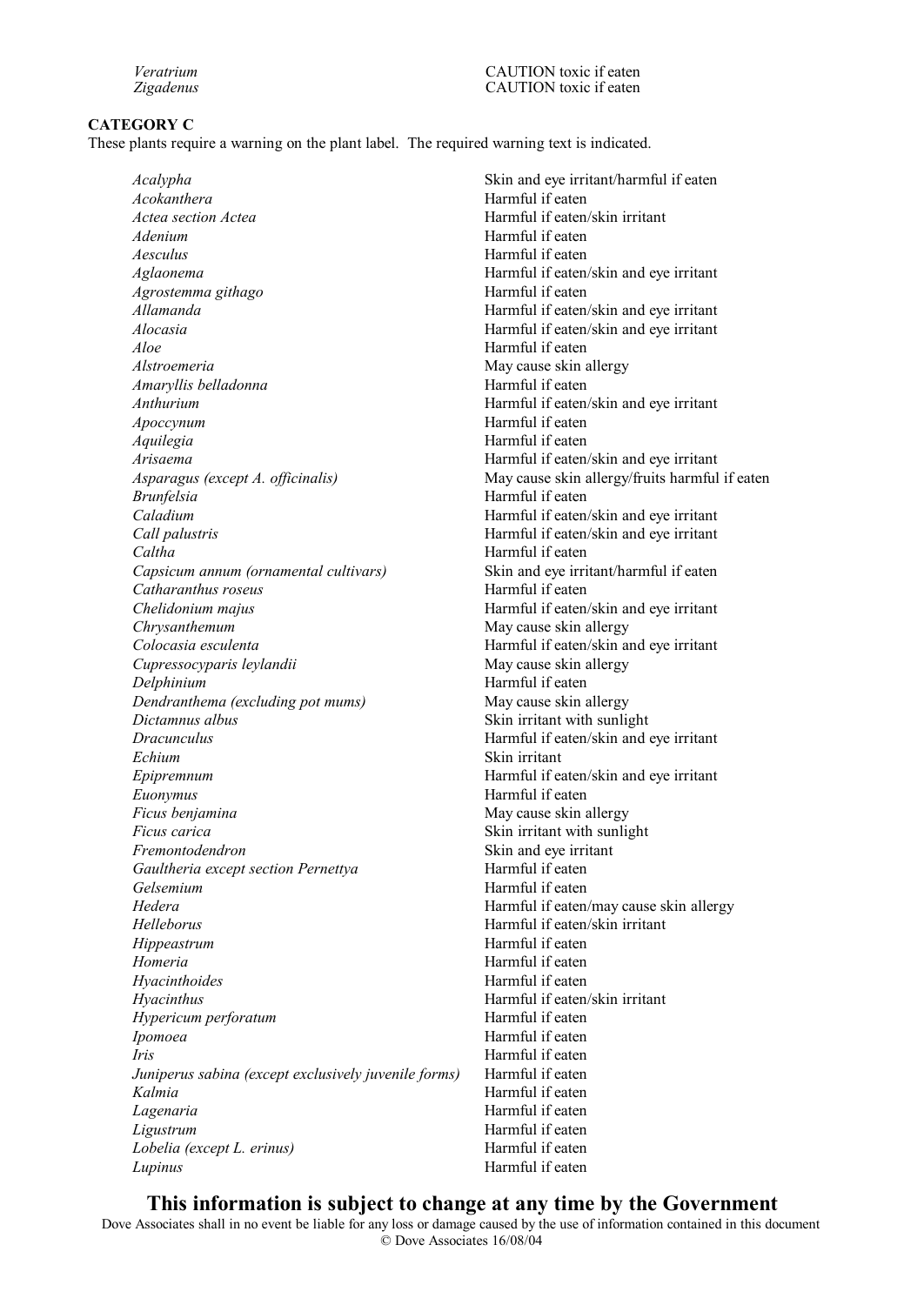#### **CATEGORY C**

These plants require a warning on the plant label. The required warning text is indicated.

*Acokanthera* Harmful if eaten *Actea section Actea* **Harmful** if eaten/skin irritant *Adenium* Harmful if eaten *Aesculus* Harmful if eaten *Aglaonema* Harmful if eaten/skin and eye irritant *Agrostemma githago* Harmful if eaten *Allamanda* Harmful if eaten/skin and eye irritant *Alocasia* Harmful if eaten/skin and eye irritant *Aloe* Harmful if eaten *Alstroemeria* May cause skin allergy *Amaryllis belladonna* **Harmful if eaten** *Anthurium* Harmful if eaten/skin and eye irritant *Apoccynum* Harmful if eaten *Aquilegia* Harmful if eaten *Arisaema* Harmful if eaten/skin and eye irritant *Asparagus (except A. officinalis)* May cause skin allergy/fruits harmful if eaten *Brunfelsia* Harmful if eaten *Caladium* Harmful if eaten/skin and eye irritant *Call palustris* Harmful if eaten/skin and eye irritant *Caltha* Harmful if eaten *Capsicum annum (ornamental cultivars)* Skin and eye irritant/harmful if eaten *Catharanthus roseus* Harmful if eaten *Chelidonium majus* **Harmful if eaten/skin and eye irritant** *Chrysanthemum* May cause skin allergy *Colocasia esculenta* Harmful if eaten/skin and eye irritant *Cupressocyparis leylandii* May cause skin allergy *Delphinium* Harmful if eaten *Dendranthema (excluding pot mums)* May cause skin allergy *Dictamnus albus* Skin irritant with sunlight *Dracunculus* Harmful if eaten/skin and eye irritant *Echium* Skin irritant *Epipremnum* **Harmful if eaten/skin and eye irritant** *Euonymus* Harmful if eaten *Ficus benjamina* May cause skin allergy *Ficus carica* Skin irritant with sunlight *Fremontodendron* Skin and eye irritant *Gaultheria except section Pernettya* **Harmful if eaten** *Gelsemium* Harmful if eaten *Hedera* Harmful if eaten/may cause skin allergy *Helleborus* Harmful if eaten/skin irritant *Hippeastrum* **Harmful** if eaten *Homeria* **Harmful** if eaten *Hyacinthoides* Harmful if eaten *Hyacinthus* Harmful if eaten/skin irritant *Hypericum perforatum* extending the Harmful if eaten *Ipomoea* Harmful if eaten *Iris* Harmful if eaten *Juniperus sabina (except exclusively juvenile forms)* Harmful if eaten Kalmia **Harmful** if eaten Lagenaria **Manufata Execute 1 Accord 12 Accord 12 Accord 12 Accord 12 Accord 12 Accord 12 Accord 12 Accord 12 Accord 12 Accord 12 Accord 12 Accord 12 Accord 12 Accord 12 Accord 12 Accord 12 Accord 12 Accord 12 Accord 12 Ac** *Ligustrum* Harmful if eaten *Lobelia (except L. erinus)* Harmful if eaten *Lupinus* Harmful if eaten

*Acalypha* Skin and eye irritant/harmful if eaten

## **This information is subject to change at any time by the Government**

Dove Associates shall in no event be liable for any loss or damage caused by the use of information contained in this document © Dove Associates 16/08/04